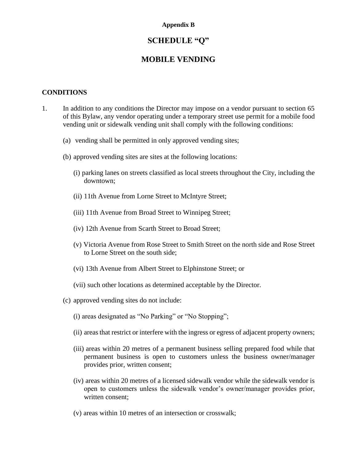# **SCHEDULE "Q"**

### **MOBILE VENDING**

### **CONDITIONS**

- 1. In addition to any conditions the Director may impose on a vendor pursuant to section 65 of this Bylaw, any vendor operating under a temporary street use permit for a mobile food vending unit or sidewalk vending unit shall comply with the following conditions:
	- (a) vending shall be permitted in only approved vending sites;
	- (b) approved vending sites are sites at the following locations:
		- (i) parking lanes on streets classified as local streets throughout the City, including the downtown;
		- (ii) 11th Avenue from Lorne Street to McIntyre Street;
		- (iii) 11th Avenue from Broad Street to Winnipeg Street;
		- (iv) 12th Avenue from Scarth Street to Broad Street;
		- (v) Victoria Avenue from Rose Street to Smith Street on the north side and Rose Street to Lorne Street on the south side;
		- (vi) 13th Avenue from Albert Street to Elphinstone Street; or
		- (vii) such other locations as determined acceptable by the Director.
	- (c) approved vending sites do not include:
		- (i) areas designated as "No Parking" or "No Stopping";
		- (ii) areas that restrict or interfere with the ingress or egress of adjacent property owners;
		- (iii) areas within 20 metres of a permanent business selling prepared food while that permanent business is open to customers unless the business owner/manager provides prior, written consent;
		- (iv) areas within 20 metres of a licensed sidewalk vendor while the sidewalk vendor is open to customers unless the sidewalk vendor's owner/manager provides prior, written consent;
		- (v) areas within 10 metres of an intersection or crosswalk;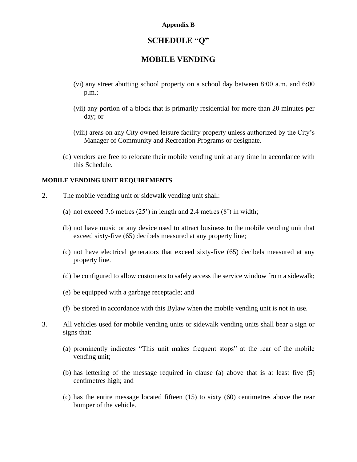### **SCHEDULE "Q"**

### **MOBILE VENDING**

- (vi) any street abutting school property on a school day between 8:00 a.m. and 6:00 p.m.;
- (vii) any portion of a block that is primarily residential for more than 20 minutes per day; or
- (viii) areas on any City owned leisure facility property unless authorized by the City's Manager of Community and Recreation Programs or designate.
- (d) vendors are free to relocate their mobile vending unit at any time in accordance with this Schedule.

#### **MOBILE VENDING UNIT REQUIREMENTS**

- 2. The mobile vending unit or sidewalk vending unit shall:
	- (a) not exceed 7.6 metres  $(25')$  in length and 2.4 metres  $(8')$  in width;
	- (b) not have music or any device used to attract business to the mobile vending unit that exceed sixty-five (65) decibels measured at any property line;
	- (c) not have electrical generators that exceed sixty-five (65) decibels measured at any property line.
	- (d) be configured to allow customers to safely access the service window from a sidewalk;
	- (e) be equipped with a garbage receptacle; and
	- (f) be stored in accordance with this Bylaw when the mobile vending unit is not in use.
- 3. All vehicles used for mobile vending units or sidewalk vending units shall bear a sign or signs that:
	- (a) prominently indicates "This unit makes frequent stops" at the rear of the mobile vending unit;
	- (b) has lettering of the message required in clause (a) above that is at least five (5) centimetres high; and
	- (c) has the entire message located fifteen (15) to sixty (60) centimetres above the rear bumper of the vehicle.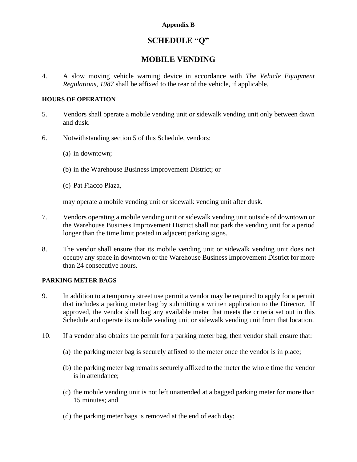# **SCHEDULE "Q"**

## **MOBILE VENDING**

4. A slow moving vehicle warning device in accordance with *The Vehicle Equipment Regulations, 1987* shall be affixed to the rear of the vehicle, if applicable.

### **HOURS OF OPERATION**

- 5. Vendors shall operate a mobile vending unit or sidewalk vending unit only between dawn and dusk.
- 6. Notwithstanding section 5 of this Schedule, vendors:
	- (a) in downtown;
	- (b) in the Warehouse Business Improvement District; or
	- (c) Pat Fiacco Plaza,

may operate a mobile vending unit or sidewalk vending unit after dusk.

- 7. Vendors operating a mobile vending unit or sidewalk vending unit outside of downtown or the Warehouse Business Improvement District shall not park the vending unit for a period longer than the time limit posted in adjacent parking signs.
- 8. The vendor shall ensure that its mobile vending unit or sidewalk vending unit does not occupy any space in downtown or the Warehouse Business Improvement District for more than 24 consecutive hours.

### **PARKING METER BAGS**

- 9. In addition to a temporary street use permit a vendor may be required to apply for a permit that includes a parking meter bag by submitting a written application to the Director. If approved, the vendor shall bag any available meter that meets the criteria set out in this Schedule and operate its mobile vending unit or sidewalk vending unit from that location.
- 10. If a vendor also obtains the permit for a parking meter bag, then vendor shall ensure that:
	- (a) the parking meter bag is securely affixed to the meter once the vendor is in place;
	- (b) the parking meter bag remains securely affixed to the meter the whole time the vendor is in attendance;
	- (c) the mobile vending unit is not left unattended at a bagged parking meter for more than 15 minutes; and
	- (d) the parking meter bags is removed at the end of each day;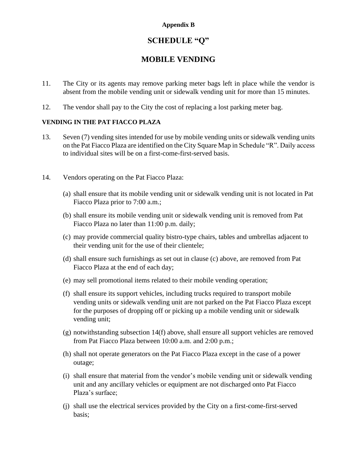## **SCHEDULE "Q"**

## **MOBILE VENDING**

- 11. The City or its agents may remove parking meter bags left in place while the vendor is absent from the mobile vending unit or sidewalk vending unit for more than 15 minutes.
- 12. The vendor shall pay to the City the cost of replacing a lost parking meter bag.

### **VENDING IN THE PAT FIACCO PLAZA**

- 13. Seven (7) vending sites intended for use by mobile vending units or sidewalk vending units on the Pat Fiacco Plaza are identified on the City Square Map in Schedule "R". Daily access to individual sites will be on a first-come-first-served basis.
- 14. Vendors operating on the Pat Fiacco Plaza:
	- (a) shall ensure that its mobile vending unit or sidewalk vending unit is not located in Pat Fiacco Plaza prior to 7:00 a.m.;
	- (b) shall ensure its mobile vending unit or sidewalk vending unit is removed from Pat Fiacco Plaza no later than 11:00 p.m. daily;
	- (c) may provide commercial quality bistro-type chairs, tables and umbrellas adjacent to their vending unit for the use of their clientele;
	- (d) shall ensure such furnishings as set out in clause (c) above, are removed from Pat Fiacco Plaza at the end of each day;
	- (e) may sell promotional items related to their mobile vending operation;
	- (f) shall ensure its support vehicles, including trucks required to transport mobile vending units or sidewalk vending unit are not parked on the Pat Fiacco Plaza except for the purposes of dropping off or picking up a mobile vending unit or sidewalk vending unit;
	- (g) notwithstanding subsection 14(f) above, shall ensure all support vehicles are removed from Pat Fiacco Plaza between 10:00 a.m. and 2:00 p.m.;
	- (h) shall not operate generators on the Pat Fiacco Plaza except in the case of a power outage;
	- (i) shall ensure that material from the vendor's mobile vending unit or sidewalk vending unit and any ancillary vehicles or equipment are not discharged onto Pat Fiacco Plaza's surface;
	- (j) shall use the electrical services provided by the City on a first-come-first-served basis;